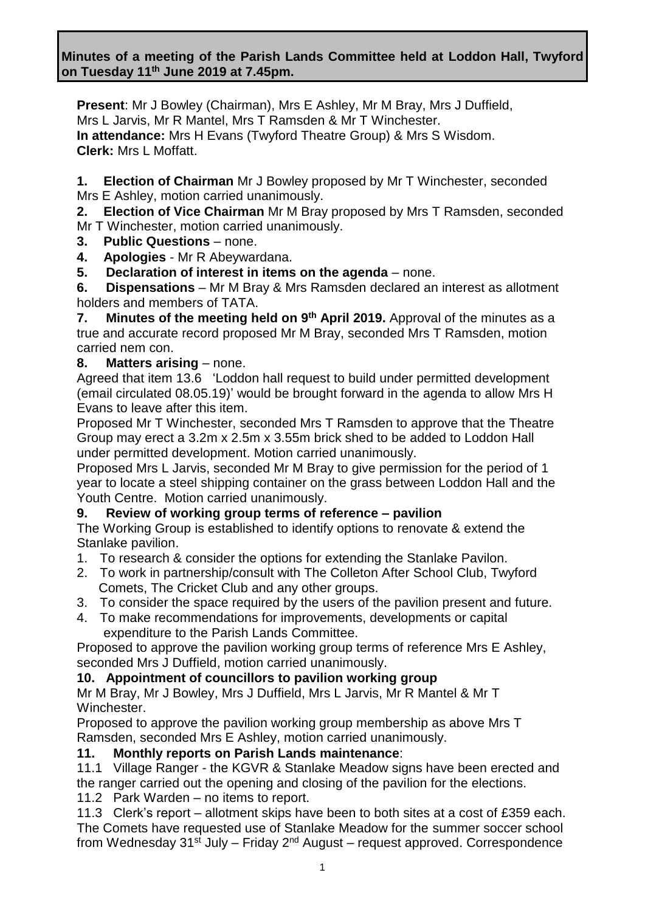**Present**: Mr J Bowley (Chairman), Mrs E Ashley, Mr M Bray, Mrs J Duffield, Mrs L Jarvis, Mr R Mantel, Mrs T Ramsden & Mr T Winchester. **In attendance:** Mrs H Evans (Twyford Theatre Group) & Mrs S Wisdom. **Clerk:** Mrs L Moffatt.

**1. Election of Chairman** Mr J Bowley proposed by Mr T Winchester, seconded Mrs E Ashley, motion carried unanimously.

**2. Election of Vice Chairman** Mr M Bray proposed by Mrs T Ramsden, seconded Mr T Winchester, motion carried unanimously.

**3. Public Questions** – none.

**4. Apologies** - Mr R Abeywardana.

**5. Declaration of interest in items on the agenda** – none.

**6. Dispensations** – Mr M Bray & Mrs Ramsden declared an interest as allotment holders and members of TATA.

**7.** Minutes of the meeting held on 9<sup>th</sup> April 2019. Approval of the minutes as a true and accurate record proposed Mr M Bray, seconded Mrs T Ramsden, motion carried nem con.

### **8. Matters arising** – none.

Agreed that item 13.6 'Loddon hall request to build under permitted development (email circulated 08.05.19)' would be brought forward in the agenda to allow Mrs H Evans to leave after this item.

Proposed Mr T Winchester, seconded Mrs T Ramsden to approve that the Theatre Group may erect a 3.2m x 2.5m x 3.55m brick shed to be added to Loddon Hall under permitted development. Motion carried unanimously.

Proposed Mrs L Jarvis, seconded Mr M Bray to give permission for the period of 1 year to locate a steel shipping container on the grass between Loddon Hall and the Youth Centre. Motion carried unanimously.

## **9. Review of working group terms of reference – pavilion**

The Working Group is established to identify options to renovate & extend the Stanlake pavilion.

1. To research & consider the options for extending the Stanlake Pavilon.

- 2. To work in partnership/consult with The Colleton After School Club, Twyford Comets, The Cricket Club and any other groups.
- 3. To consider the space required by the users of the pavilion present and future.
- 4. To make recommendations for improvements, developments or capital expenditure to the Parish Lands Committee.

Proposed to approve the pavilion working group terms of reference Mrs E Ashley, seconded Mrs J Duffield, motion carried unanimously.

## **10. Appointment of councillors to pavilion working group**

Mr M Bray, Mr J Bowley, Mrs J Duffield, Mrs L Jarvis, Mr R Mantel & Mr T Winchester.

Proposed to approve the pavilion working group membership as above Mrs T Ramsden, seconded Mrs E Ashley, motion carried unanimously.

## **11. Monthly reports on Parish Lands maintenance**:

11.1 Village Ranger - the KGVR & Stanlake Meadow signs have been erected and the ranger carried out the opening and closing of the pavilion for the elections.

11.2 Park Warden – no items to report.

11.3 Clerk's report – allotment skips have been to both sites at a cost of £359 each. The Comets have requested use of Stanlake Meadow for the summer soccer school from Wednesday 31<sup>st</sup> July – Friday 2<sup>nd</sup> August – request approved. Correspondence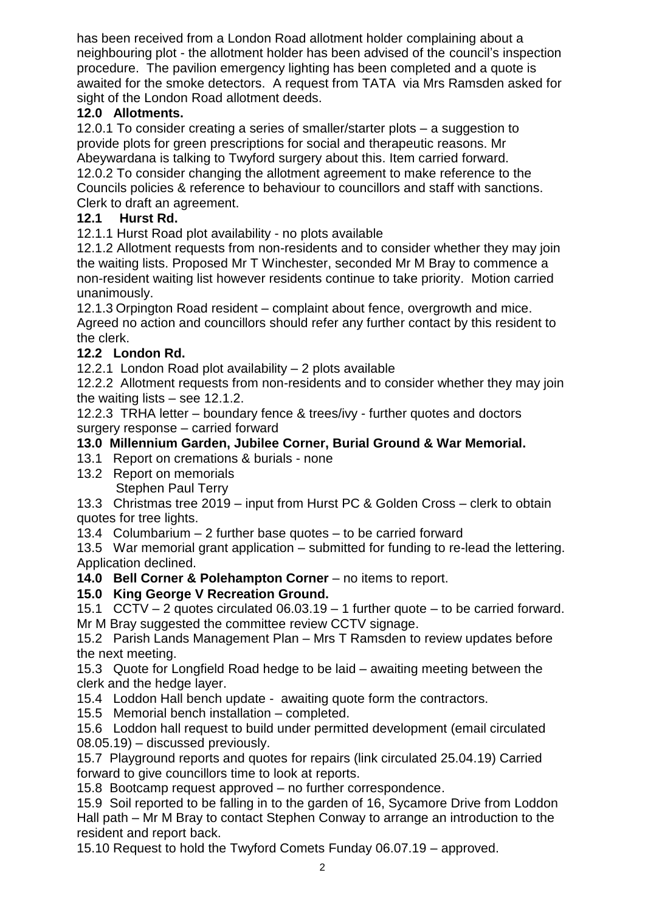has been received from a London Road allotment holder complaining about a neighbouring plot - the allotment holder has been advised of the council's inspection procedure. The pavilion emergency lighting has been completed and a quote is awaited for the smoke detectors. A request from TATA via Mrs Ramsden asked for sight of the London Road allotment deeds.

# **12.0 Allotments.**

12.0.1 To consider creating a series of smaller/starter plots – a suggestion to provide plots for green prescriptions for social and therapeutic reasons. Mr Abeywardana is talking to Twyford surgery about this. Item carried forward. 12.0.2 To consider changing the allotment agreement to make reference to the Councils policies & reference to behaviour to councillors and staff with sanctions. Clerk to draft an agreement.

## **12.1 Hurst Rd.**

12.1.1 Hurst Road plot availability - no plots available

12.1.2 Allotment requests from non-residents and to consider whether they may join the waiting lists. Proposed Mr T Winchester, seconded Mr M Bray to commence a non-resident waiting list however residents continue to take priority. Motion carried unanimously.

12.1.3 Orpington Road resident – complaint about fence, overgrowth and mice. Agreed no action and councillors should refer any further contact by this resident to the clerk.

# **12.2 London Rd.**

12.2.1 London Road plot availability – 2 plots available

12.2.2 Allotment requests from non-residents and to consider whether they may join the waiting lists – see 12.1.2.

12.2.3 TRHA letter – boundary fence & trees/ivy - further quotes and doctors surgery response – carried forward

## **13.0 Millennium Garden, Jubilee Corner, Burial Ground & War Memorial.**

- 13.1 Report on cremations & burials none
- 13.2 Report on memorials Stephen Paul Terry

13.3 Christmas tree 2019 – input from Hurst PC & Golden Cross – clerk to obtain quotes for tree lights.

13.4 Columbarium – 2 further base quotes – to be carried forward

13.5 War memorial grant application – submitted for funding to re-lead the lettering. Application declined.

**14.0 Bell Corner & Polehampton Corner** – no items to report.

## **15.0 King George V Recreation Ground.**

15.1 CCTV – 2 quotes circulated 06.03.19 – 1 further quote – to be carried forward.

Mr M Bray suggested the committee review CCTV signage.

15.2 Parish Lands Management Plan – Mrs T Ramsden to review updates before the next meeting.

15.3 Quote for Longfield Road hedge to be laid – awaiting meeting between the clerk and the hedge layer.

15.4 Loddon Hall bench update - awaiting quote form the contractors.

15.5 Memorial bench installation – completed.

15.6 Loddon hall request to build under permitted development (email circulated 08.05.19) – discussed previously.

15.7 Playground reports and quotes for repairs (link circulated 25.04.19) Carried forward to give councillors time to look at reports.

15.8 Bootcamp request approved – no further correspondence.

15.9 Soil reported to be falling in to the garden of 16, Sycamore Drive from Loddon Hall path – Mr M Bray to contact Stephen Conway to arrange an introduction to the resident and report back.

15.10 Request to hold the Twyford Comets Funday 06.07.19 – approved.